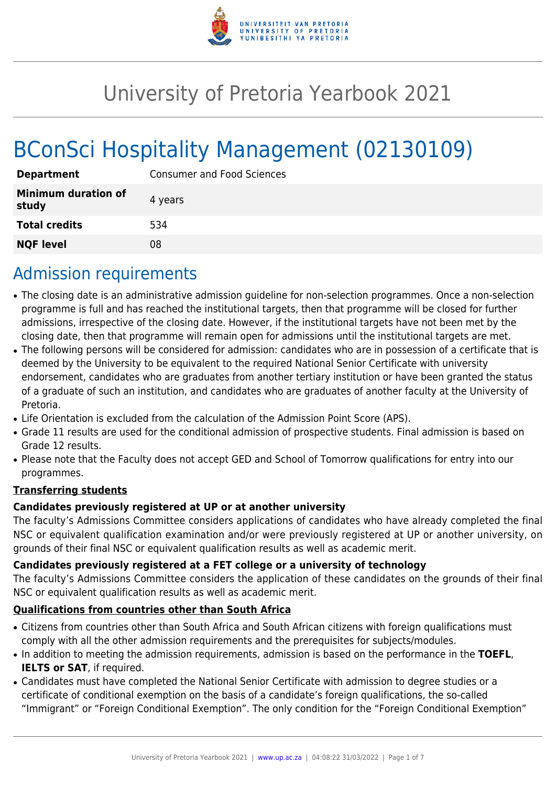

# University of Pretoria Yearbook 2021

# BConSci Hospitality Management (02130109)

| <b>Department</b>                   | <b>Consumer and Food Sciences</b> |  |  |
|-------------------------------------|-----------------------------------|--|--|
| <b>Minimum duration of</b><br>study | 4 years                           |  |  |
| <b>Total credits</b>                | 534                               |  |  |
| <b>NQF level</b>                    | 08                                |  |  |

# Admission requirements

- The closing date is an administrative admission guideline for non-selection programmes. Once a non-selection programme is full and has reached the institutional targets, then that programme will be closed for further admissions, irrespective of the closing date. However, if the institutional targets have not been met by the closing date, then that programme will remain open for admissions until the institutional targets are met.
- The following persons will be considered for admission: candidates who are in possession of a certificate that is deemed by the University to be equivalent to the required National Senior Certificate with university endorsement, candidates who are graduates from another tertiary institution or have been granted the status of a graduate of such an institution, and candidates who are graduates of another faculty at the University of Pretoria.
- Life Orientation is excluded from the calculation of the Admission Point Score (APS).
- Grade 11 results are used for the conditional admission of prospective students. Final admission is based on Grade 12 results.
- Please note that the Faculty does not accept GED and School of Tomorrow qualifications for entry into our programmes.

### **Transferring students**

### **Candidates previously registered at UP or at another university**

The faculty's Admissions Committee considers applications of candidates who have already completed the final NSC or equivalent qualification examination and/or were previously registered at UP or another university, on grounds of their final NSC or equivalent qualification results as well as academic merit.

### **Candidates previously registered at a FET college or a university of technology**

The faculty's Admissions Committee considers the application of these candidates on the grounds of their final NSC or equivalent qualification results as well as academic merit.

### **Qualifications from countries other than South Africa**

- Citizens from countries other than South Africa and South African citizens with foreign qualifications must comply with all the other admission requirements and the prerequisites for subjects/modules.
- In addition to meeting the admission requirements, admission is based on the performance in the **TOEFL**, **IELTS or SAT**, if required.
- Candidates must have completed the National Senior Certificate with admission to degree studies or a certificate of conditional exemption on the basis of a candidate's foreign qualifications, the so-called "Immigrant" or "Foreign Conditional Exemption". The only condition for the "Foreign Conditional Exemption"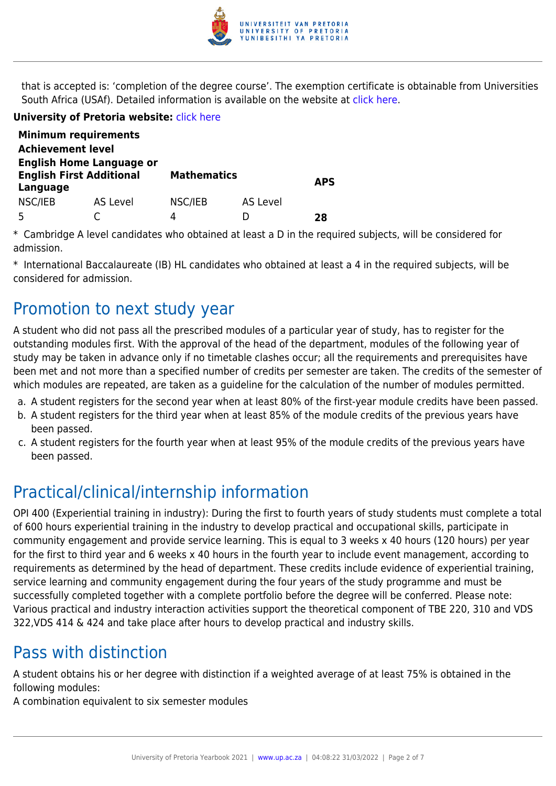

that is accepted is: 'completion of the degree course'. The exemption certificate is obtainable from Universities South Africa (USAf). Detailed information is available on the website at [click here.](http://mb.usaf.ac.za)

#### **University of Pretoria website:** [click here](http://www.up.ac.za/nas)

|                                                                                | <b>Minimum requirements</b> |                    |          |            |
|--------------------------------------------------------------------------------|-----------------------------|--------------------|----------|------------|
| <b>Achievement level</b>                                                       |                             |                    |          |            |
| <b>English Home Language or</b><br><b>English First Additional</b><br>Language |                             | <b>Mathematics</b> |          | <b>APS</b> |
| NSC/IEB                                                                        | AS Level                    | NSC/IEB            | AS Level |            |
|                                                                                |                             | Δ                  | D        | 28         |

\* Cambridge A level candidates who obtained at least a D in the required subjects, will be considered for admission.

\* International Baccalaureate (IB) HL candidates who obtained at least a 4 in the required subjects, will be considered for admission.

# Promotion to next study year

A student who did not pass all the prescribed modules of a particular year of study, has to register for the outstanding modules first. With the approval of the head of the department, modules of the following year of study may be taken in advance only if no timetable clashes occur; all the requirements and prerequisites have been met and not more than a specified number of credits per semester are taken. The credits of the semester of which modules are repeated, are taken as a guideline for the calculation of the number of modules permitted.

- a. A student registers for the second year when at least 80% of the first-year module credits have been passed.
- b. A student registers for the third year when at least 85% of the module credits of the previous years have been passed.
- c. A student registers for the fourth year when at least 95% of the module credits of the previous years have been passed.

# Practical/clinical/internship information

OPI 400 (Experiential training in industry): During the first to fourth years of study students must complete a total of 600 hours experiential training in the industry to develop practical and occupational skills, participate in community engagement and provide service learning. This is equal to 3 weeks x 40 hours (120 hours) per year for the first to third year and 6 weeks x 40 hours in the fourth year to include event management, according to requirements as determined by the head of department. These credits include evidence of experiential training, service learning and community engagement during the four years of the study programme and must be successfully completed together with a complete portfolio before the degree will be conferred. Please note: Various practical and industry interaction activities support the theoretical component of TBE 220, 310 and VDS 322,VDS 414 & 424 and take place after hours to develop practical and industry skills.

# Pass with distinction

A student obtains his or her degree with distinction if a weighted average of at least 75% is obtained in the following modules:

A combination equivalent to six semester modules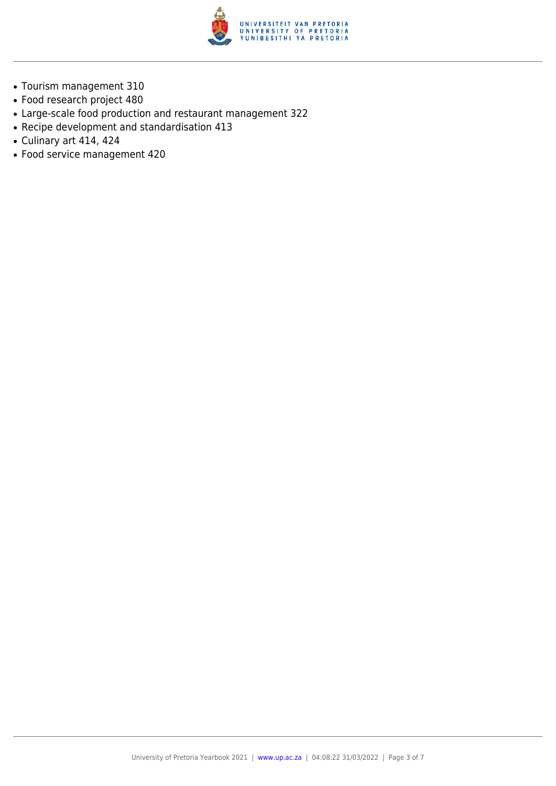

- Tourism management 310
- Food research project 480
- Large-scale food production and restaurant management 322
- Recipe development and standardisation 413
- $\bullet$  Culinary art 414, 424
- Food service management 420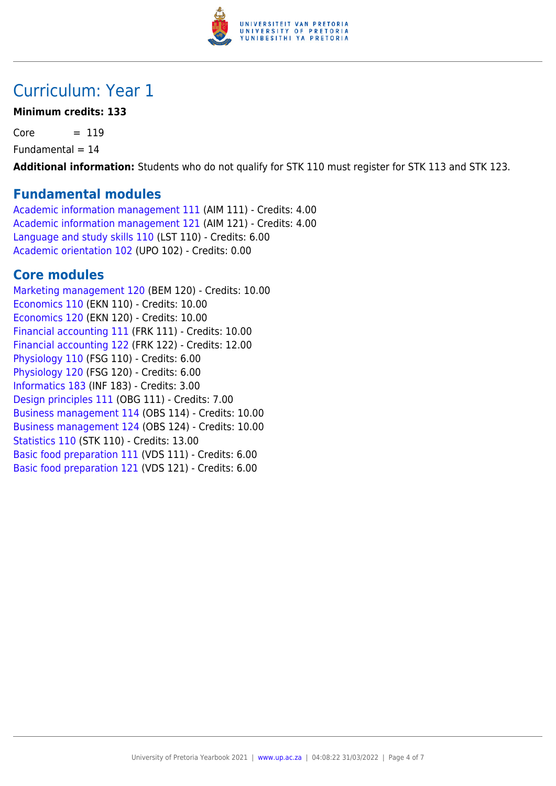

# Curriculum: Year 1

### **Minimum credits: 133**

 $Core = 119$ 

 $Fundamental = 14$ 

**Additional information:** Students who do not qualify for STK 110 must register for STK 113 and STK 123.

### **Fundamental modules**

[Academic information management 111](https://www.up.ac.za/yearbooks/2021/modules/view/AIM 111) (AIM 111) - Credits: 4.00 [Academic information management 121](https://www.up.ac.za/yearbooks/2021/modules/view/AIM 121) (AIM 121) - Credits: 4.00 [Language and study skills 110](https://www.up.ac.za/yearbooks/2021/modules/view/LST 110) (LST 110) - Credits: 6.00 [Academic orientation 102](https://www.up.ac.za/yearbooks/2021/modules/view/UPO 102) (UPO 102) - Credits: 0.00

## **Core modules**

[Marketing management 120](https://www.up.ac.za/yearbooks/2021/modules/view/BEM 120) (BEM 120) - Credits: 10.00 [Economics 110](https://www.up.ac.za/yearbooks/2021/modules/view/EKN 110) (EKN 110) - Credits: 10.00 [Economics 120](https://www.up.ac.za/yearbooks/2021/modules/view/EKN 120) (EKN 120) - Credits: 10.00 [Financial accounting 111](https://www.up.ac.za/yearbooks/2021/modules/view/FRK 111) (FRK 111) - Credits: 10.00 [Financial accounting 122](https://www.up.ac.za/yearbooks/2021/modules/view/FRK 122) (FRK 122) - Credits: 12.00 [Physiology 110](https://www.up.ac.za/yearbooks/2021/modules/view/FSG 110) (FSG 110) - Credits: 6.00 [Physiology 120](https://www.up.ac.za/yearbooks/2021/modules/view/FSG 120) (FSG 120) - Credits: 6.00 [Informatics 183](https://www.up.ac.za/yearbooks/2021/modules/view/INF 183) (INF 183) - Credits: 3.00 [Design principles 111](https://www.up.ac.za/yearbooks/2021/modules/view/OBG 111) (OBG 111) - Credits: 7.00 [Business management 114](https://www.up.ac.za/yearbooks/2021/modules/view/OBS 114) (OBS 114) - Credits: 10.00 [Business management 124](https://www.up.ac.za/yearbooks/2021/modules/view/OBS 124) (OBS 124) - Credits: 10.00 [Statistics 110](https://www.up.ac.za/yearbooks/2021/modules/view/STK 110) (STK 110) - Credits: 13.00 [Basic food preparation 111](https://www.up.ac.za/yearbooks/2021/modules/view/VDS 111) (VDS 111) - Credits: 6.00 [Basic food preparation 121](https://www.up.ac.za/yearbooks/2021/modules/view/VDS 121) (VDS 121) - Credits: 6.00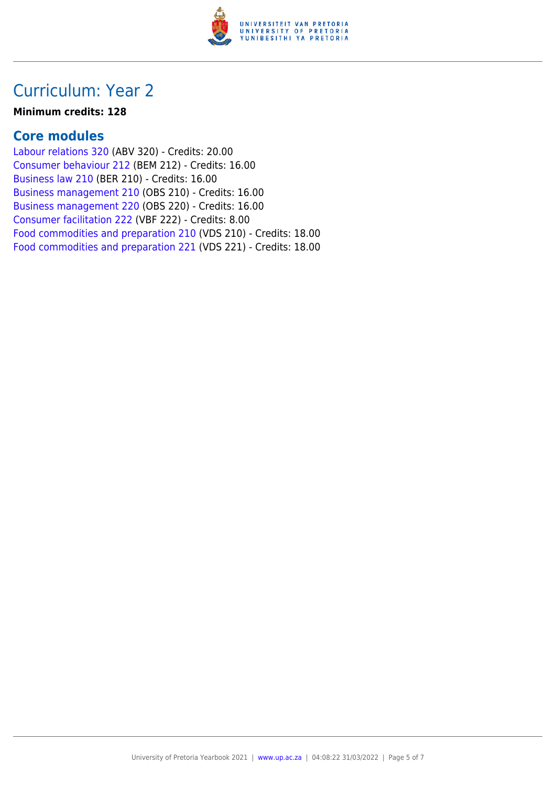

# Curriculum: Year 2

#### **Minimum credits: 128**

### **Core modules**

[Labour relations 320](https://www.up.ac.za/yearbooks/2021/modules/view/ABV 320) (ABV 320) - Credits: 20.00 [Consumer behaviour 212](https://www.up.ac.za/yearbooks/2021/modules/view/BEM 212) (BEM 212) - Credits: 16.00 [Business law 210](https://www.up.ac.za/yearbooks/2021/modules/view/BER 210) (BER 210) - Credits: 16.00 [Business management 210](https://www.up.ac.za/yearbooks/2021/modules/view/OBS 210) (OBS 210) - Credits: 16.00 [Business management 220](https://www.up.ac.za/yearbooks/2021/modules/view/OBS 220) (OBS 220) - Credits: 16.00 [Consumer facilitation 222](https://www.up.ac.za/yearbooks/2021/modules/view/VBF 222) (VBF 222) - Credits: 8.00 [Food commodities and preparation 210](https://www.up.ac.za/yearbooks/2021/modules/view/VDS 210) (VDS 210) - Credits: 18.00 [Food commodities and preparation 221](https://www.up.ac.za/yearbooks/2021/modules/view/VDS 221) (VDS 221) - Credits: 18.00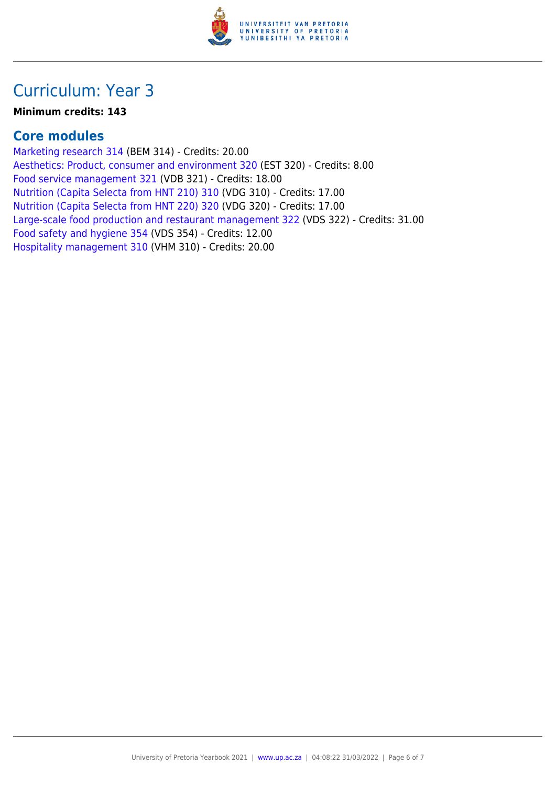

# Curriculum: Year 3

#### **Minimum credits: 143**

## **Core modules**

[Marketing research 314](https://www.up.ac.za/yearbooks/2021/modules/view/BEM 314) (BEM 314) - Credits: 20.00 [Aesthetics: Product, consumer and environment 320](https://www.up.ac.za/yearbooks/2021/modules/view/EST 320) (EST 320) - Credits: 8.00 [Food service management 321](https://www.up.ac.za/yearbooks/2021/modules/view/VDB 321) (VDB 321) - Credits: 18.00 [Nutrition \(Capita Selecta from HNT 210\) 310](https://www.up.ac.za/yearbooks/2021/modules/view/VDG 310) (VDG 310) - Credits: 17.00 [Nutrition \(Capita Selecta from HNT 220\) 320](https://www.up.ac.za/yearbooks/2021/modules/view/VDG 320) (VDG 320) - Credits: 17.00 [Large-scale food production and restaurant management 322](https://www.up.ac.za/yearbooks/2021/modules/view/VDS 322) (VDS 322) - Credits: 31.00 [Food safety and hygiene 354](https://www.up.ac.za/yearbooks/2021/modules/view/VDS 354) (VDS 354) - Credits: 12.00 [Hospitality management 310](https://www.up.ac.za/yearbooks/2021/modules/view/VHM 310) (VHM 310) - Credits: 20.00